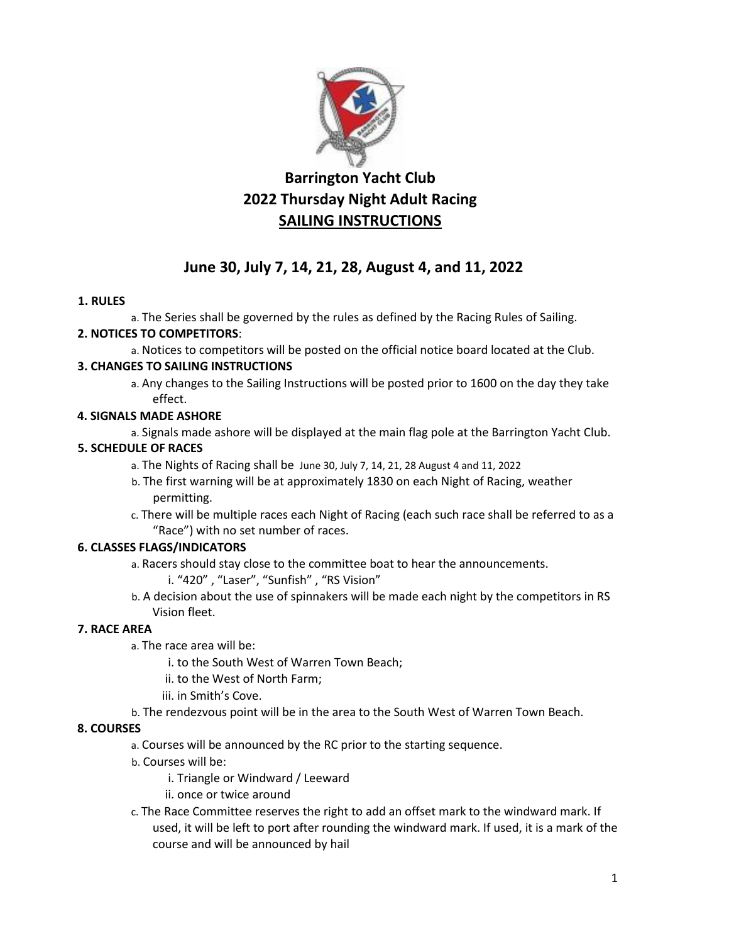

# **Barrington Yacht Club 2022 Thursday Night Adult Racing SAILING INSTRUCTIONS**

# **June 30, July 7, 14, 21, 28, August 4, and 11, 2022**

## **1. RULES**

a. The Series shall be governed by the rules as defined by the Racing Rules of Sailing. **2. NOTICES TO COMPETITORS**:

a. Notices to competitors will be posted on the official notice board located at the Club.

# **3. CHANGES TO SAILING INSTRUCTIONS**

a. Any changes to the Sailing Instructions will be posted prior to 1600 on the day they take effect.

## **4. SIGNALS MADE ASHORE**

a. Signals made ashore will be displayed at the main flag pole at the Barrington Yacht Club.

# **5. SCHEDULE OF RACES**

- a. The Nights of Racing shall be June 30, July 7, 14, 21, 28 August 4 and 11, 2022
- b. The first warning will be at approximately 1830 on each Night of Racing, weather permitting.
- c. There will be multiple races each Night of Racing (each such race shall be referred to as a "Race") with no set number of races.

# **6. CLASSES FLAGS/INDICATORS**

- a. Racers should stay close to the committee boat to hear the announcements.
	- i. "420" , "Laser", "Sunfish" , "RS Vision"
- b. A decision about the use of spinnakers will be made each night by the competitors in RS Vision fleet.

# **7. RACE AREA**

- a. The race area will be:
	- i. to the South West of Warren Town Beach;
	- ii. to the West of North Farm;
	- iii. in Smith's Cove.
- b. The rendezvous point will be in the area to the South West of Warren Town Beach.

## **8. COURSES**

- a. Courses will be announced by the RC prior to the starting sequence.
- b. Courses will be:
	- i. Triangle or Windward / Leeward
	- ii. once or twice around
- c. The Race Committee reserves the right to add an offset mark to the windward mark. If used, it will be left to port after rounding the windward mark. If used, it is a mark of the course and will be announced by hail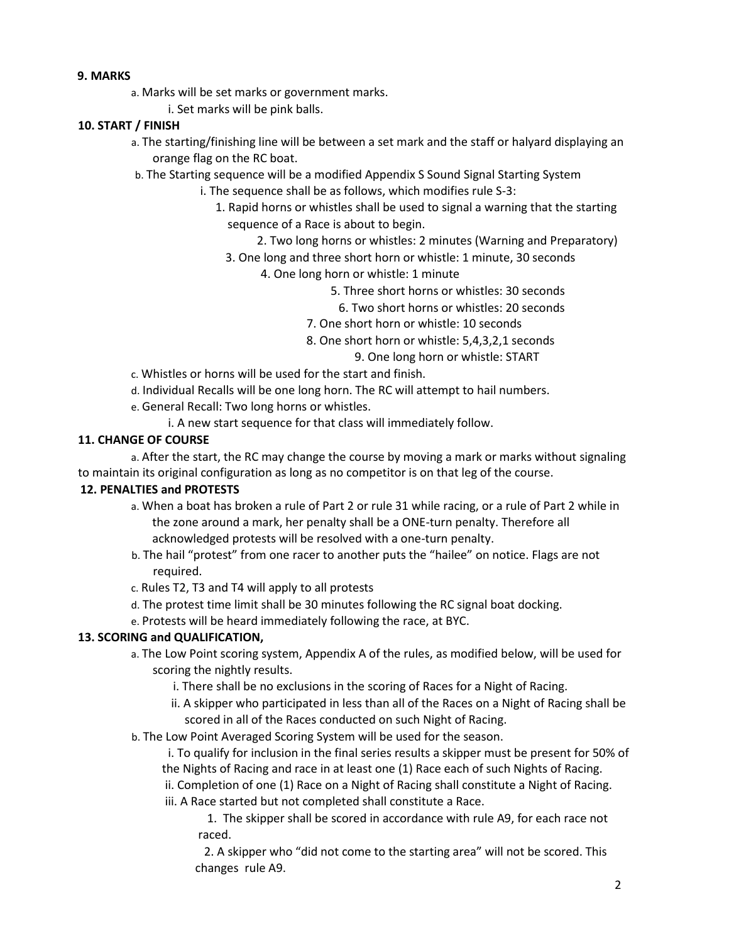#### **9. MARKS**

a. Marks will be set marks or government marks.

i. Set marks will be pink balls.

### **10. START / FINISH**

- a. The starting/finishing line will be between a set mark and the staff or halyard displaying an orange flag on the RC boat.
- b. The Starting sequence will be a modified Appendix S Sound Signal Starting System
	- i. The sequence shall be as follows, which modifies rule S-3:
		- 1. Rapid horns or whistles shall be used to signal a warning that the starting sequence of a Race is about to begin.
			- 2. Two long horns or whistles: 2 minutes (Warning and Preparatory)
			- 3. One long and three short horn or whistle: 1 minute, 30 seconds
				- 4. One long horn or whistle: 1 minute
					- 5. Three short horns or whistles: 30 seconds
						- 6. Two short horns or whistles: 20 seconds
					- 7. One short horn or whistle: 10 seconds
					- 8. One short horn or whistle: 5,4,3,2,1 seconds
						- 9. One long horn or whistle: START
- c. Whistles or horns will be used for the start and finish.
- d. Individual Recalls will be one long horn. The RC will attempt to hail numbers.
- e. General Recall: Two long horns or whistles.
	- i. A new start sequence for that class will immediately follow.

### **11. CHANGE OF COURSE**

a. After the start, the RC may change the course by moving a mark or marks without signaling to maintain its original configuration as long as no competitor is on that leg of the course.

### **12. PENALTIES and PROTESTS**

- a. When a boat has broken a rule of Part 2 or rule 31 while racing, or a rule of Part 2 while in the zone around a mark, her penalty shall be a ONE-turn penalty. Therefore all acknowledged protests will be resolved with a one-turn penalty.
- b. The hail "protest" from one racer to another puts the "hailee" on notice. Flags are not required.
- c. Rules T2, T3 and T4 will apply to all protests
- d. The protest time limit shall be 30 minutes following the RC signal boat docking.
- e. Protests will be heard immediately following the race, at BYC.

## **13. SCORING and QUALIFICATION,**

- a. The Low Point scoring system, Appendix A of the rules, as modified below, will be used for scoring the nightly results.
	- i. There shall be no exclusions in the scoring of Races for a Night of Racing.
	- ii. A skipper who participated in less than all of the Races on a Night of Racing shall be scored in all of the Races conducted on such Night of Racing.
- b. The Low Point Averaged Scoring System will be used for the season.

i. To qualify for inclusion in the final series results a skipper must be present for 50% of the Nights of Racing and race in at least one (1) Race each of such Nights of Racing. ii. Completion of one (1) Race on a Night of Racing shall constitute a Night of Racing.

iii. A Race started but not completed shall constitute a Race.

 1. The skipper shall be scored in accordance with rule A9, for each race not raced.

 2. A skipper who "did not come to the starting area" will not be scored. This changes rule A9.